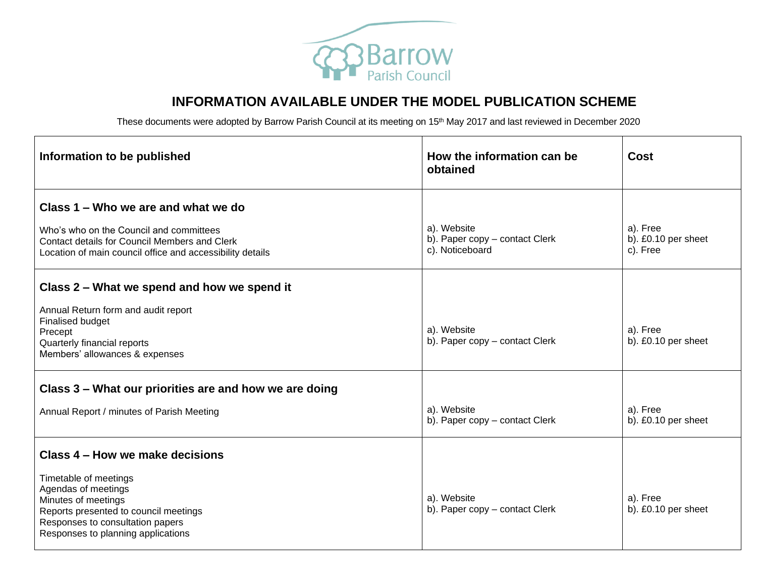

## **INFORMATION AVAILABLE UNDER THE MODEL PUBLICATION SCHEME**

These documents were adopted by Barrow Parish Council at its meeting on 15<sup>th</sup> May 2017 and last reviewed in December 2020

| Information to be published                                                                                                                                                            | How the information can be<br>obtained            | <b>Cost</b>                     |
|----------------------------------------------------------------------------------------------------------------------------------------------------------------------------------------|---------------------------------------------------|---------------------------------|
| Class 1 – Who we are and what we do<br>Who's who on the Council and committees                                                                                                         | a). Website                                       | a). Free                        |
| Contact details for Council Members and Clerk<br>Location of main council office and accessibility details                                                                             | b). Paper copy - contact Clerk<br>c). Noticeboard | b). £0.10 per sheet<br>c). Free |
| Class 2 – What we spend and how we spend it                                                                                                                                            |                                                   |                                 |
| Annual Return form and audit report<br>Finalised budget<br>Precept<br>Quarterly financial reports<br>Members' allowances & expenses                                                    | a). Website<br>b). Paper copy - contact Clerk     | a). Free<br>b). £0.10 per sheet |
| Class 3 - What our priorities are and how we are doing                                                                                                                                 |                                                   |                                 |
| Annual Report / minutes of Parish Meeting                                                                                                                                              | a). Website<br>b). Paper copy - contact Clerk     | a). Free<br>b). £0.10 per sheet |
| Class 4 – How we make decisions                                                                                                                                                        |                                                   |                                 |
| Timetable of meetings<br>Agendas of meetings<br>Minutes of meetings<br>Reports presented to council meetings<br>Responses to consultation papers<br>Responses to planning applications | a). Website<br>b). Paper copy - contact Clerk     | a). Free<br>b). £0.10 per sheet |